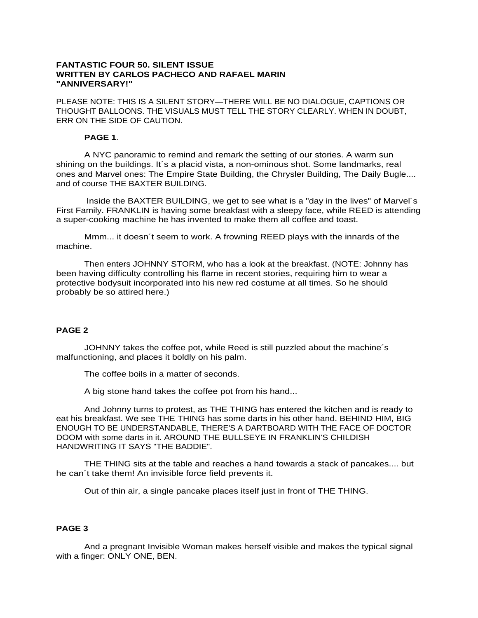### **FANTASTIC FOUR 50. SILENT ISSUE WRITTEN BY CARLOS PACHECO AND RAFAEL MARIN "ANNIVERSARY!"**

PLEASE NOTE: THIS IS A SILENT STORY—THERE WILL BE NO DIALOGUE, CAPTIONS OR THOUGHT BALLOONS. THE VISUALS MUST TELL THE STORY CLEARLY. WHEN IN DOUBT, ERR ON THE SIDE OF CAUTION.

### **PAGE 1**.

A NYC panoramic to remind and remark the setting of our stories. A warm sun shining on the buildings. It´s a placid vista, a non-ominous shot. Some landmarks, real ones and Marvel ones: The Empire State Building, the Chrysler Building, The Daily Bugle.... and of course THE BAXTER BUILDING.

Inside the BAXTER BUILDING, we get to see what is a "day in the lives" of Marvel´s First Family. FRANKLIN is having some breakfast with a sleepy face, while REED is attending a super-cooking machine he has invented to make them all coffee and toast.

Mmm... it doesn´t seem to work. A frowning REED plays with the innards of the machine.

Then enters JOHNNY STORM, who has a look at the breakfast. (NOTE: Johnny has been having difficulty controlling his flame in recent stories, requiring him to wear a protective bodysuit incorporated into his new red costume at all times. So he should probably be so attired here.)

# **PAGE 2**

JOHNNY takes the coffee pot, while Reed is still puzzled about the machine´s malfunctioning, and places it boldly on his palm.

The coffee boils in a matter of seconds.

A big stone hand takes the coffee pot from his hand...

And Johnny turns to protest, as THE THING has entered the kitchen and is ready to eat his breakfast. We see THE THING has some darts in his other hand. BEHIND HIM, BIG ENOUGH TO BE UNDERSTANDABLE, THERE'S A DARTBOARD WITH THE FACE OF DOCTOR DOOM with some darts in it. AROUND THE BULLSEYE IN FRANKLIN'S CHILDISH HANDWRITING IT SAYS "THE BADDIE".

THE THING sits at the table and reaches a hand towards a stack of pancakes.... but he can´t take them! An invisible force field prevents it.

Out of thin air, a single pancake places itself just in front of THE THING.

# **PAGE 3**

And a pregnant Invisible Woman makes herself visible and makes the typical signal with a finger: ONLY ONE, BEN.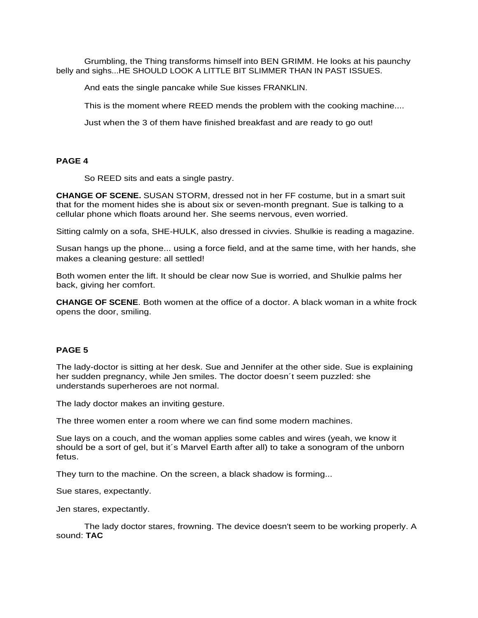Grumbling, the Thing transforms himself into BEN GRIMM. He looks at his paunchy belly and sighs...HE SHOULD LOOK A LITTLE BIT SLIMMER THAN IN PAST ISSUES.

And eats the single pancake while Sue kisses FRANKLIN.

This is the moment where REED mends the problem with the cooking machine....

Just when the 3 of them have finished breakfast and are ready to go out!

## **PAGE 4**

So REED sits and eats a single pastry.

**CHANGE OF SCENE.** SUSAN STORM, dressed not in her FF costume, but in a smart suit that for the moment hides she is about six or seven-month pregnant. Sue is talking to a cellular phone which floats around her. She seems nervous, even worried.

Sitting calmly on a sofa, SHE-HULK, also dressed in civvies. Shulkie is reading a magazine.

Susan hangs up the phone... using a force field, and at the same time, with her hands, she makes a cleaning gesture: all settled!

Both women enter the lift. It should be clear now Sue is worried, and Shulkie palms her back, giving her comfort.

**CHANGE OF SCENE**. Both women at the office of a doctor. A black woman in a white frock opens the door, smiling.

### **PAGE 5**

The lady-doctor is sitting at her desk. Sue and Jennifer at the other side. Sue is explaining her sudden pregnancy, while Jen smiles. The doctor doesn´t seem puzzled: she understands superheroes are not normal.

The lady doctor makes an inviting gesture.

The three women enter a room where we can find some modern machines.

Sue lays on a couch, and the woman applies some cables and wires (yeah, we know it should be a sort of gel, but it´s Marvel Earth after all) to take a sonogram of the unborn fetus.

They turn to the machine. On the screen, a black shadow is forming...

Sue stares, expectantly.

Jen stares, expectantly.

The lady doctor stares, frowning. The device doesn't seem to be working properly. A sound: **TAC**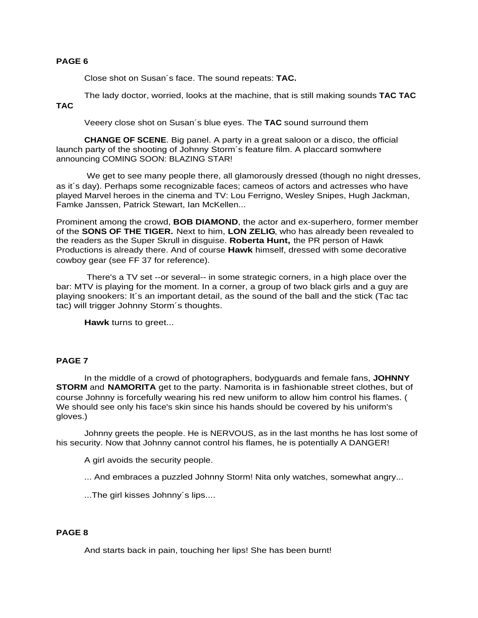## **PAGE 6**

Close shot on Susan´s face. The sound repeats: **TAC.**

The lady doctor, worried, looks at the machine, that is still making sounds **TAC TAC TAC**

Veeery close shot on Susan´s blue eyes. The **TAC** sound surround them

**CHANGE OF SCENE**. Big panel. A party in a great saloon or a disco, the official launch party of the shooting of Johnny Storm´s feature film. A placcard somwhere announcing COMING SOON: BLAZING STAR!

 We get to see many people there, all glamorously dressed (though no night dresses, as it´s day). Perhaps some recognizable faces; cameos of actors and actresses who have played Marvel heroes in the cinema and TV: Lou Ferrigno, Wesley Snipes, Hugh Jackman, Famke Janssen, Patrick Stewart, Ian McKellen...

Prominent among the crowd, **BOB DIAMOND**, the actor and ex-superhero, former member of the **SONS OF THE TIGER.** Next to him, **LON ZELIG**, who has already been revealed to the readers as the Super Skrull in disguise. **Roberta Hunt,** the PR person of Hawk Productions is already there. And of course **Hawk** himself, dressed with some decorative cowboy gear (see FF 37 for reference).

 There's a TV set --or several-- in some strategic corners, in a high place over the bar: MTV is playing for the moment. In a corner, a group of two black girls and a guy are playing snookers: It´s an important detail, as the sound of the ball and the stick (Tac tac tac) will trigger Johnny Storm´s thoughts.

**Hawk** turns to greet...

### **PAGE 7**

In the middle of a crowd of photographers, bodyguards and female fans, **JOHNNY STORM** and **NAMORITA** get to the party. Namorita is in fashionable street clothes, but of course Johnny is forcefully wearing his red new uniform to allow him control his flames. ( We should see only his face's skin since his hands should be covered by his uniform's gloves.)

Johnny greets the people. He is NERVOUS, as in the last months he has lost some of his security. Now that Johnny cannot control his flames, he is potentially A DANGER!

A girl avoids the security people.

... And embraces a puzzled Johnny Storm! Nita only watches, somewhat angry...

...The girl kisses Johnny´s lips....

# **PAGE 8**

And starts back in pain, touching her lips! She has been burnt!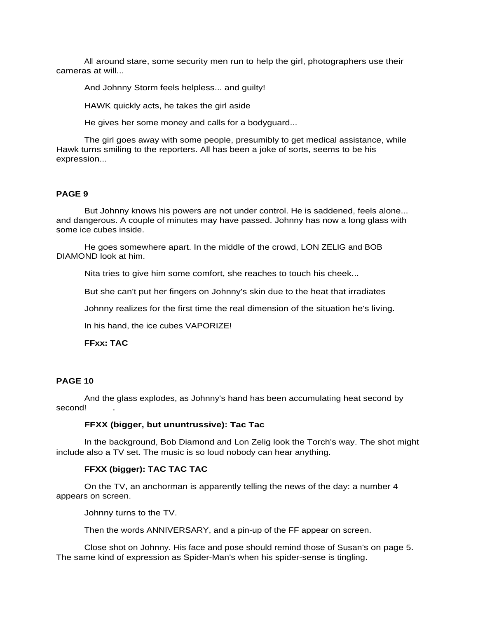All around stare, some security men run to help the girl, photographers use their cameras at will...

And Johnny Storm feels helpless... and guilty!

HAWK quickly acts, he takes the girl aside

He gives her some money and calls for a bodyguard...

The girl goes away with some people, presumibly to get medical assistance, while Hawk turns smiling to the reporters. All has been a joke of sorts, seems to be his expression...

#### **PAGE 9**

But Johnny knows his powers are not under control. He is saddened, feels alone... and dangerous. A couple of minutes may have passed. Johnny has now a long glass with some ice cubes inside.

He goes somewhere apart. In the middle of the crowd, LON ZELIG and BOB DIAMOND look at him.

Nita tries to give him some comfort, she reaches to touch his cheek...

But she can't put her fingers on Johnny's skin due to the heat that irradiates

Johnny realizes for the first time the real dimension of the situation he's living.

In his hand, the ice cubes VAPORIZE!

**FFxx: TAC**

#### **PAGE 10**

And the glass explodes, as Johnny's hand has been accumulating heat second by second!

# **FFXX (bigger, but ununtrussive): Tac Tac**

In the background, Bob Diamond and Lon Zelig look the Torch's way. The shot might include also a TV set. The music is so loud nobody can hear anything.

#### **FFXX (bigger): TAC TAC TAC**

On the TV, an anchorman is apparently telling the news of the day: a number 4 appears on screen.

Johnny turns to the TV.

Then the words ANNIVERSARY, and a pin-up of the FF appear on screen.

Close shot on Johnny. His face and pose should remind those of Susan's on page 5. The same kind of expression as Spider-Man's when his spider-sense is tingling.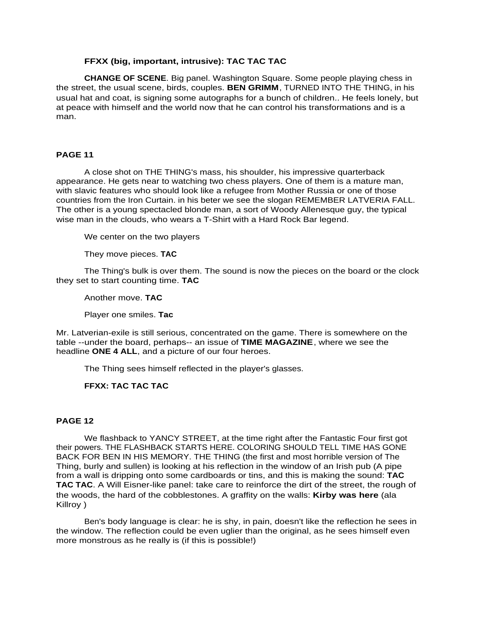## **FFXX (big, important, intrusive): TAC TAC TAC**

**CHANGE OF SCENE**. Big panel. Washington Square. Some people playing chess in the street, the usual scene, birds, couples. **BEN GRIMM**, TURNED INTO THE THING, in his usual hat and coat, is signing some autographs for a bunch of children.. He feels lonely, but at peace with himself and the world now that he can control his transformations and is a man.

## **PAGE 11**

A close shot on THE THING's mass, his shoulder, his impressive quarterback appearance. He gets near to watching two chess players. One of them is a mature man, with slavic features who should look like a refugee from Mother Russia or one of those countries from the Iron Curtain. in his beter we see the slogan REMEMBER LATVERIA FALL. The other is a young spectacled blonde man, a sort of Woody Allenesque guy, the typical wise man in the clouds, who wears a T-Shirt with a Hard Rock Bar legend.

We center on the two players

They move pieces. **TAC**

The Thing's bulk is over them. The sound is now the pieces on the board or the clock they set to start counting time. **TAC**

Another move. **TAC**

Player one smiles. **Tac**

Mr. Latverian-exile is still serious, concentrated on the game. There is somewhere on the table --under the board, perhaps-- an issue of **TIME MAGAZINE**, where we see the headline **ONE 4 ALL**, and a picture of our four heroes.

The Thing sees himself reflected in the player's glasses.

# **FFXX: TAC TAC TAC**

### **PAGE 12**

We flashback to YANCY STREET, at the time right after the Fantastic Four first got their powers. THE FLASHBACK STARTS HERE. COLORING SHOULD TELL TIME HAS GONE BACK FOR BEN IN HIS MEMORY. THE THING (the first and most horrible version of The Thing, burly and sullen) is looking at his reflection in the window of an Irish pub (A pipe from a wall is dripping onto some cardboards or tins, and this is making the sound: **TAC TAC TAC**. A Will Eisner-like panel: take care to reinforce the dirt of the street, the rough of the woods, the hard of the cobblestones. A graffity on the walls: **Kirby was here** (ala Killroy )

Ben's body language is clear: he is shy, in pain, doesn't like the reflection he sees in the window. The reflection could be even uglier than the original, as he sees himself even more monstrous as he really is (if this is possible!)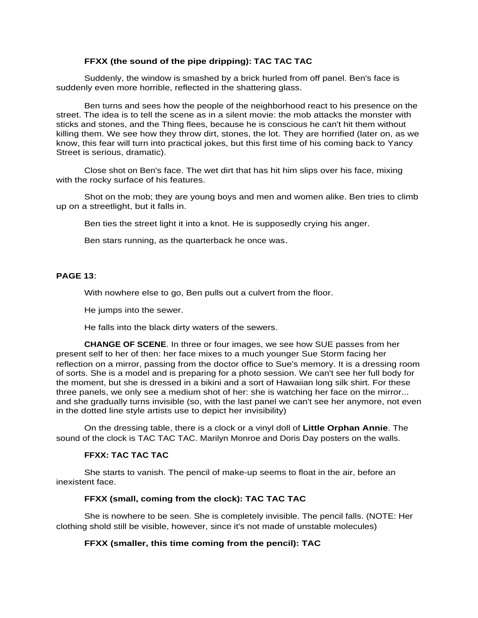## **FFXX (the sound of the pipe dripping): TAC TAC TAC**

Suddenly, the window is smashed by a brick hurled from off panel. Ben's face is suddenly even more horrible, reflected in the shattering glass.

Ben turns and sees how the people of the neighborhood react to his presence on the street. The idea is to tell the scene as in a silent movie: the mob attacks the monster with sticks and stones, and the Thing flees, because he is conscious he can't hit them without killing them. We see how they throw dirt, stones, the lot. They are horrified (later on, as we know, this fear will turn into practical jokes, but this first time of his coming back to Yancy Street is serious, dramatic).

Close shot on Ben's face. The wet dirt that has hit him slips over his face, mixing with the rocky surface of his features.

Shot on the mob; they are young boys and men and women alike. Ben tries to climb up on a streetlight, but it falls in.

Ben ties the street light it into a knot. He is supposedly crying his anger.

Ben stars running, as the quarterback he once was.

# **PAGE 13**:

With nowhere else to go, Ben pulls out a culvert from the floor.

He jumps into the sewer.

He falls into the black dirty waters of the sewers.

**CHANGE OF SCENE**. In three or four images, we see how SUE passes from her present self to her of then: her face mixes to a much younger Sue Storm facing her reflection on a mirror, passing from the doctor office to Sue's memory. It is a dressing room of sorts. She is a model and is preparing for a photo session. We can't see her full body for the moment, but she is dressed in a bikini and a sort of Hawaiian long silk shirt. For these three panels, we only see a medium shot of her: she is watching her face on the mirror... and she gradually turns invisible (so, with the last panel we can't see her anymore, not even in the dotted line style artists use to depict her invisibility)

On the dressing table, there is a clock or a vinyl doll of **Little Orphan Annie**. The sound of the clock is TAC TAC TAC. Marilyn Monroe and Doris Day posters on the walls.

### **FFXX: TAC TAC TAC**

She starts to vanish. The pencil of make-up seems to float in the air, before an inexistent face.

### **FFXX (small, coming from the clock): TAC TAC TAC**

She is nowhere to be seen. She is completely invisible. The pencil falls. (NOTE: Her clothing shold still be visible, however, since it's not made of unstable molecules)

### **FFXX (smaller, this time coming from the pencil): TAC**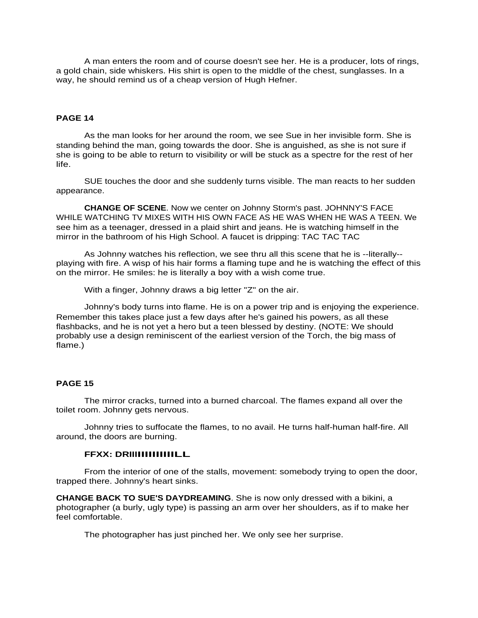A man enters the room and of course doesn't see her. He is a producer, lots of rings, a gold chain, side whiskers. His shirt is open to the middle of the chest, sunglasses. In a way, he should remind us of a cheap version of Hugh Hefner.

## **PAGE 14**

As the man looks for her around the room, we see Sue in her invisible form. She is standing behind the man, going towards the door. She is anguished, as she is not sure if she is going to be able to return to visibility or will be stuck as a spectre for the rest of her life.

SUE touches the door and she suddenly turns visible. The man reacts to her sudden appearance.

**CHANGE OF SCENE**. Now we center on Johnny Storm's past. JOHNNY'S FACE WHILE WATCHING TV MIXES WITH HIS OWN FACE AS HE WAS WHEN HE WAS A TEEN. We see him as a teenager, dressed in a plaid shirt and jeans. He is watching himself in the mirror in the bathroom of his High School. A faucet is dripping: TAC TAC TAC

As Johnny watches his reflection, we see thru all this scene that he is --literally- playing with fire. A wisp of his hair forms a flaming tupe and he is watching the effect of this on the mirror. He smiles: he is literally a boy with a wish come true.

With a finger, Johnny draws a big letter "Z" on the air.

Johnny's body turns into flame. He is on a power trip and is enjoying the experience. Remember this takes place just a few days after he's gained his powers, as all these flashbacks, and he is not yet a hero but a teen blessed by destiny. (NOTE: We should probably use a design reminiscent of the earliest version of the Torch, the big mass of flame.)

## **PAGE 15**

The mirror cracks, turned into a burned charcoal. The flames expand all over the toilet room. Johnny gets nervous.

Johnny tries to suffocate the flames, to no avail. He turns half-human half-fire. All around, the doors are burning.

#### **FFXX: DRIIIIIIIIIIIIILL**

From the interior of one of the stalls, movement: somebody trying to open the door, trapped there. Johnny's heart sinks.

**CHANGE BACK TO SUE'S DAYDREAMING**. She is now only dressed with a bikini, a photographer (a burly, ugly type) is passing an arm over her shoulders, as if to make her feel comfortable.

The photographer has just pinched her. We only see her surprise.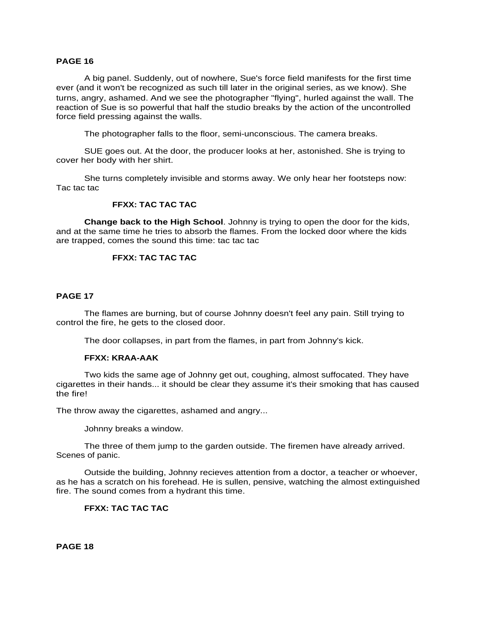### **PAGE 16**

A big panel. Suddenly, out of nowhere, Sue's force field manifests for the first time ever (and it won't be recognized as such till later in the original series, as we know). She turns, angry, ashamed. And we see the photographer "flying", hurled against the wall. The reaction of Sue is so powerful that half the studio breaks by the action of the uncontrolled force field pressing against the walls.

The photographer falls to the floor, semi-unconscious. The camera breaks.

SUE goes out. At the door, the producer looks at her, astonished. She is trying to cover her body with her shirt.

She turns completely invisible and storms away. We only hear her footsteps now: Tac tac tac

#### **FFXX: TAC TAC TAC**

**Change back to the High School**. Johnny is trying to open the door for the kids, and at the same time he tries to absorb the flames. From the locked door where the kids are trapped, comes the sound this time: tac tac tac

# **FFXX: TAC TAC TAC**

# **PAGE 17**

The flames are burning, but of course Johnny doesn't feel any pain. Still trying to control the fire, he gets to the closed door.

The door collapses, in part from the flames, in part from Johnny's kick.

#### **FFXX: KRAA-AAK**

Two kids the same age of Johnny get out, coughing, almost suffocated. They have cigarettes in their hands... it should be clear they assume it's their smoking that has caused the fire!

The throw away the cigarettes, ashamed and angry...

Johnny breaks a window.

The three of them jump to the garden outside. The firemen have already arrived. Scenes of panic.

Outside the building, Johnny recieves attention from a doctor, a teacher or whoever, as he has a scratch on his forehead. He is sullen, pensive, watching the almost extinguished fire. The sound comes from a hydrant this time.

# **FFXX: TAC TAC TAC**

**PAGE 18**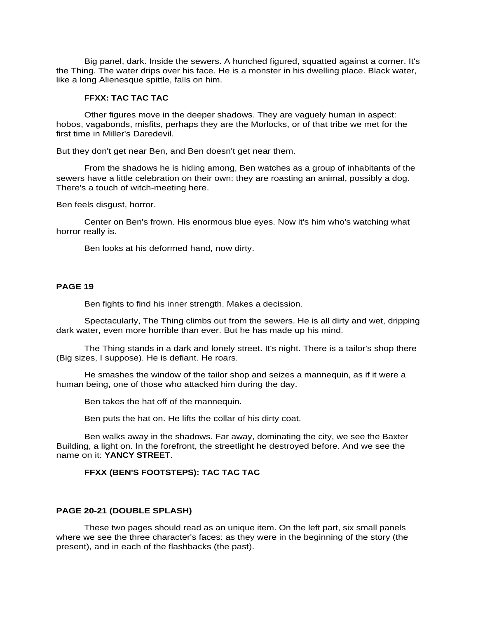Big panel, dark. Inside the sewers. A hunched figured, squatted against a corner. It's the Thing. The water drips over his face. He is a monster in his dwelling place. Black water, like a long Alienesque spittle, falls on him.

#### **FFXX: TAC TAC TAC**

Other figures move in the deeper shadows. They are vaguely human in aspect: hobos, vagabonds, misfits, perhaps they are the Morlocks, or of that tribe we met for the first time in Miller's Daredevil.

But they don't get near Ben, and Ben doesn't get near them.

From the shadows he is hiding among, Ben watches as a group of inhabitants of the sewers have a little celebration on their own: they are roasting an animal, possibly a dog. There's a touch of witch-meeting here.

Ben feels disgust, horror.

Center on Ben's frown. His enormous blue eyes. Now it's him who's watching what horror really is.

Ben looks at his deformed hand, now dirty.

#### **PAGE 19**

Ben fights to find his inner strength. Makes a decission.

Spectacularly, The Thing climbs out from the sewers. He is all dirty and wet, dripping dark water, even more horrible than ever. But he has made up his mind.

The Thing stands in a dark and lonely street. It's night. There is a tailor's shop there (Big sizes, I suppose). He is defiant. He roars.

He smashes the window of the tailor shop and seizes a mannequin, as if it were a human being, one of those who attacked him during the day.

Ben takes the hat off of the mannequin.

Ben puts the hat on. He lifts the collar of his dirty coat.

Ben walks away in the shadows. Far away, dominating the city, we see the Baxter Building, a light on. In the forefront, the streetlight he destroyed before. And we see the name on it: **YANCY STREET**.

### **FFXX (BEN'S FOOTSTEPS): TAC TAC TAC**

#### **PAGE 20-21 (DOUBLE SPLASH)**

These two pages should read as an unique item. On the left part, six small panels where we see the three character's faces: as they were in the beginning of the story (the present), and in each of the flashbacks (the past).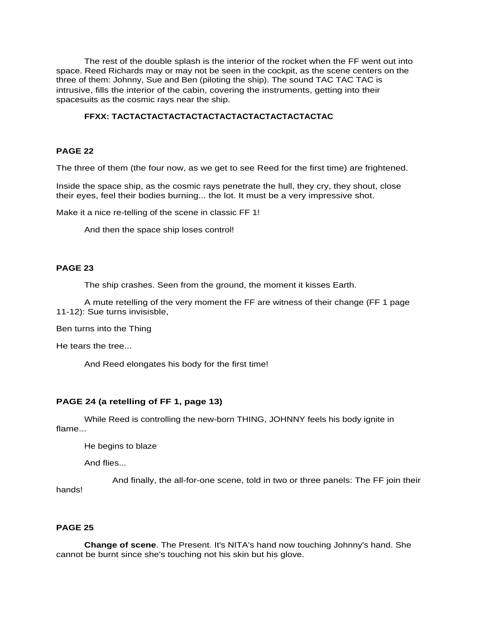The rest of the double splash is the interior of the rocket when the FF went out into space. Reed Richards may or may not be seen in the cockpit, as the scene centers on the three of them: Johnny, Sue and Ben (piloting the ship). The sound TAC TAC TAC is intrusive, fills the interior of the cabin, covering the instruments, getting into their spacesuits as the cosmic rays near the ship.

# **FFXX: TACTACTACTACTACTACTACTACTACTACTACTACTAC**

### **PAGE 22**

The three of them (the four now, as we get to see Reed for the first time) are frightened.

Inside the space ship, as the cosmic rays penetrate the hull, they cry, they shout, close their eyes, feel their bodies burning... the lot. It must be a very impressive shot.

Make it a nice re-telling of the scene in classic FF 1!

And then the space ship loses control!

# **PAGE 23**

The ship crashes. Seen from the ground, the moment it kisses Earth.

A mute retelling of the very moment the FF are witness of their change (FF 1 page 11-12): Sue turns invisisble,

Ben turns into the Thing

He tears the tree...

And Reed elongates his body for the first time!

# **PAGE 24 (a retelling of FF 1, page 13)**

While Reed is controlling the new-born THING, JOHNNY feels his body ignite in flame...

He begins to blaze

And flies...

And finally, the all-for-one scene, told in two or three panels: The FF join their hands!

## **PAGE 25**

**Change of scene**. The Present. It's NITA's hand now touching Johnny's hand. She cannot be burnt since she's touching not his skin but his glove.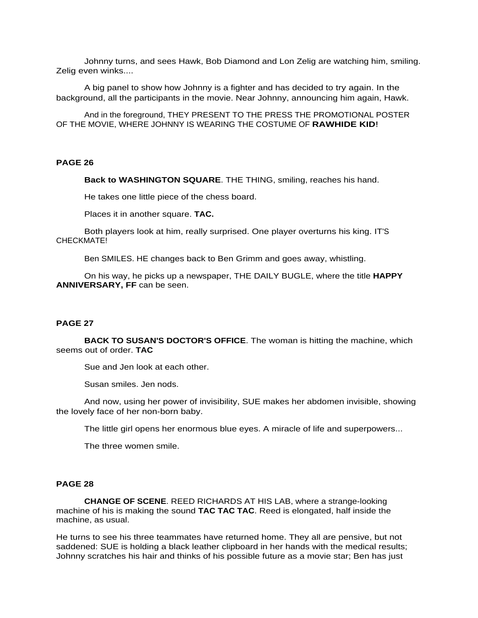Johnny turns, and sees Hawk, Bob Diamond and Lon Zelig are watching him, smiling. Zelig even winks....

A big panel to show how Johnny is a fighter and has decided to try again. In the background, all the participants in the movie. Near Johnny, announcing him again, Hawk.

And in the foreground, THEY PRESENT TO THE PRESS THE PROMOTIONAL POSTER OF THE MOVIE, WHERE JOHNNY IS WEARING THE COSTUME OF **RAWHIDE KID**!

### **PAGE 26**

**Back to WASHINGTON SQUARE**. THE THING, smiling, reaches his hand.

He takes one little piece of the chess board.

Places it in another square. **TAC.**

Both players look at him, really surprised. One player overturns his king. IT'S CHECKMATE!

Ben SMILES. HE changes back to Ben Grimm and goes away, whistling.

On his way, he picks up a newspaper, THE DAILY BUGLE, where the title **HAPPY ANNIVERSARY, FF** can be seen.

#### **PAGE 27**

**BACK TO SUSAN'S DOCTOR'S OFFICE**. The woman is hitting the machine, which seems out of order. **TAC**

Sue and Jen look at each other.

Susan smiles. Jen nods.

And now, using her power of invisibility, SUE makes her abdomen invisible, showing the lovely face of her non-born baby.

The little girl opens her enormous blue eyes. A miracle of life and superpowers...

The three women smile.

#### **PAGE 28**

**CHANGE OF SCENE**. REED RICHARDS AT HIS LAB, where a strange-looking machine of his is making the sound **TAC TAC TAC**. Reed is elongated, half inside the machine, as usual.

He turns to see his three teammates have returned home. They all are pensive, but not saddened: SUE is holding a black leather clipboard in her hands with the medical results; Johnny scratches his hair and thinks of his possible future as a movie star; Ben has just